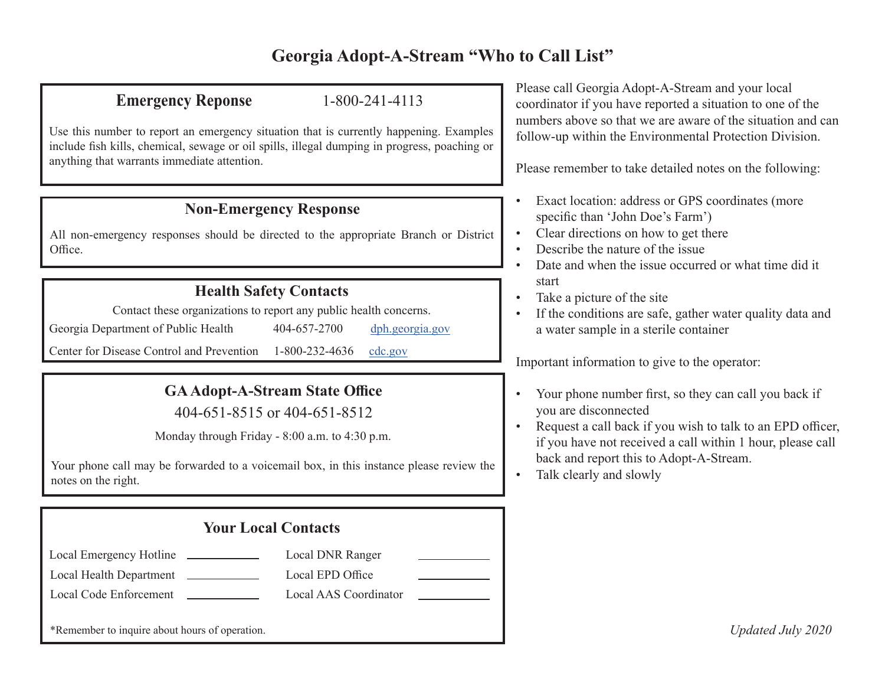# **Georgia Adopt-A-Stream "Who to Call List"**

### **Emergency Reponse** 1-800-241-4113

Use this number to report an emergency situation that is currently happening. Examples include fish kills, chemical, sewage or oil spills, illegal dumping in progress, poaching or anything that warrants immediate attention.

### **Non-Emergency Response**

All non-emergency responses should be directed to the appropriate Branch or District Office.

### **Health Safety Contacts**

Contact these organizations to report any public health concerns.

Georgia Department of Public Health 404-657-2700 [dph.georgia.gov](http://dph.georgia.gov)

Center for Disease Control and Prevention 1-800-232-4636 [cdc.gov](http://cdc.gov)

## **GA Adopt-A-Stream State Office**

404-651-8515 or 404-651-8512

Monday through Friday - 8:00 a.m. to 4:30 p.m.

Your phone call may be forwarded to a voicemail box, in this instance please review the notes on the right.

| <b>Your Local Contacts</b>                                            |                       |  |  |  |
|-----------------------------------------------------------------------|-----------------------|--|--|--|
| Local Emergency Hotline<br><b>Contract Contract Contract Contract</b> | Local DNR Ranger      |  |  |  |
| Local Health Department                                               | Local EPD Office      |  |  |  |
| Local Code Enforcement                                                | Local AAS Coordinator |  |  |  |
| *Remember to inquire about hours of operation.                        |                       |  |  |  |

Please call Georgia Adopt-A-Stream and your local coordinator if you have reported a situation to one of the numbers above so that we are aware of the situation and can follow-up within the Environmental Protection Division.

Please remember to take detailed notes on the following:

- Exact location: address or GPS coordinates (more specific than 'John Doe's Farm')
- Clear directions on how to get there
- Describe the nature of the issue
- Date and when the issue occurred or what time did it start
- Take a picture of the site
- If the conditions are safe, gather water quality data and a water sample in a sterile container

Important information to give to the operator:

- Your phone number first, so they can call you back if you are disconnected
- Request a call back if you wish to talk to an EPD officer, if you have not received a call within 1 hour, please call back and report this to Adopt-A-Stream.
- Talk clearly and slowly